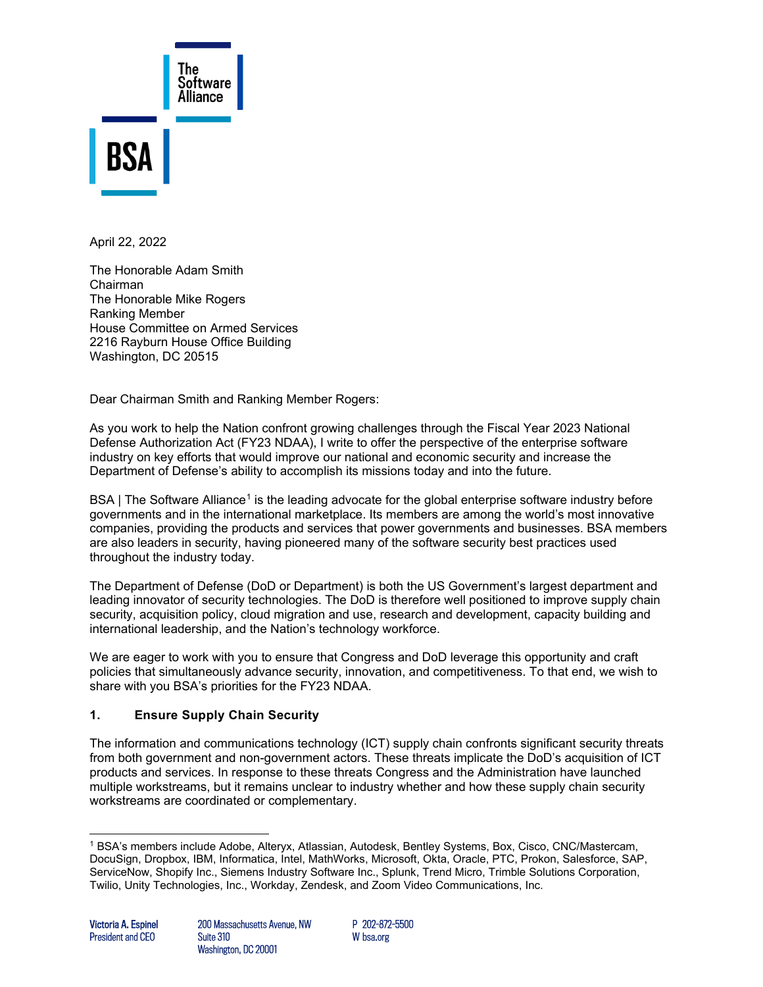

April 22, 2022

The Honorable Adam Smith Chairman The Honorable Mike Rogers Ranking Member House Committee on Armed Services 2216 Rayburn House Office Building Washington, DC 20515

Dear Chairman Smith and Ranking Member Rogers:

As you work to help the Nation confront growing challenges through the Fiscal Year 2023 National Defense Authorization Act (FY23 NDAA), I write to offer the perspective of the enterprise software industry on key efforts that would improve our national and economic security and increase the Department of Defense's ability to accomplish its missions today and into the future.

BSA | The Software Alliance<sup>[1](#page-0-0)</sup> is the leading advocate for the global enterprise software industry before governments and in the international marketplace. Its members are among the world's most innovative companies, providing the products and services that power governments and businesses. BSA members are also leaders in security, having pioneered many of the software security best practices used throughout the industry today.

The Department of Defense (DoD or Department) is both the US Government's largest department and leading innovator of security technologies. The DoD is therefore well positioned to improve supply chain security, acquisition policy, cloud migration and use, research and development, capacity building and international leadership, and the Nation's technology workforce.

We are eager to work with you to ensure that Congress and DoD leverage this opportunity and craft policies that simultaneously advance security, innovation, and competitiveness. To that end, we wish to share with you BSA's priorities for the FY23 NDAA.

#### **1. Ensure Supply Chain Security**

The information and communications technology (ICT) supply chain confronts significant security threats from both government and non-government actors. These threats implicate the DoD's acquisition of ICT products and services. In response to these threats Congress and the Administration have launched multiple workstreams, but it remains unclear to industry whether and how these supply chain security workstreams are coordinated or complementary.

P 202-872-5500 W bsa.org

<span id="page-0-0"></span><sup>1</sup> BSA's members include Adobe, Alteryx, Atlassian, Autodesk, Bentley Systems, Box, Cisco, CNC/Mastercam, DocuSign, Dropbox, IBM, Informatica, Intel, MathWorks, Microsoft, Okta, Oracle, PTC, Prokon, Salesforce, SAP, ServiceNow, Shopify Inc., Siemens Industry Software Inc., Splunk, Trend Micro, Trimble Solutions Corporation, Twilio, Unity Technologies, Inc., Workday, Zendesk, and Zoom Video Communications, Inc.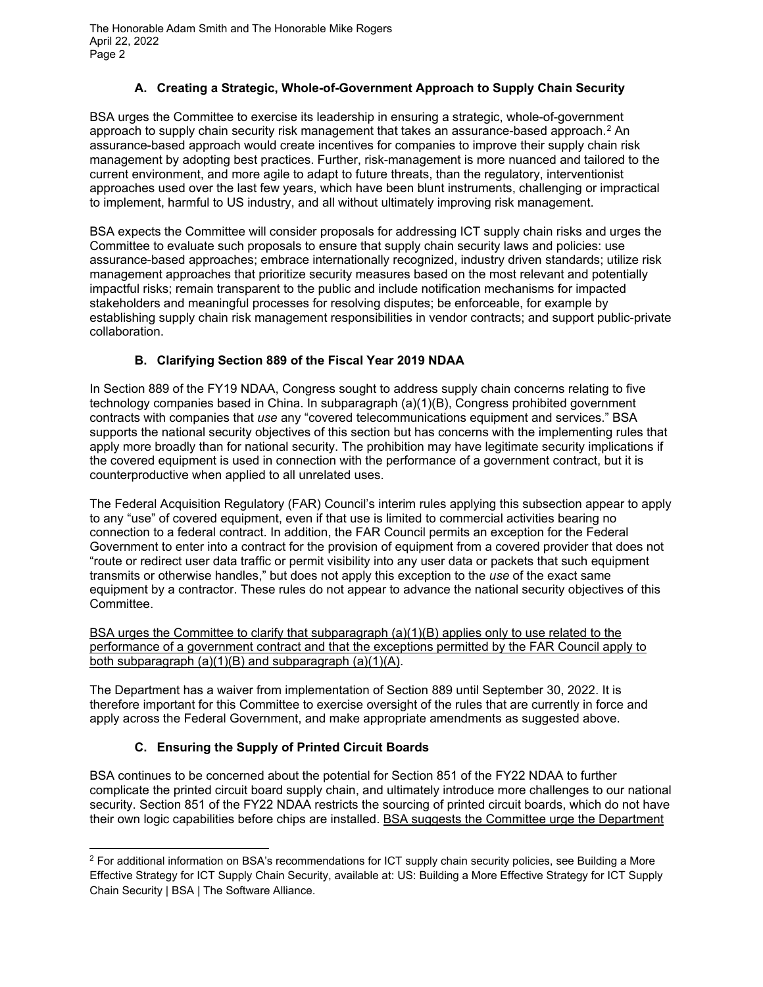#### **A. Creating a Strategic, Whole-of-Government Approach to Supply Chain Security**

BSA urges the Committee to exercise its leadership in ensuring a strategic, whole-of-government approach to supply chain security risk management that takes an assurance-based approach.<sup>[2](#page-1-0)</sup> An assurance-based approach would create incentives for companies to improve their supply chain risk management by adopting best practices. Further, risk-management is more nuanced and tailored to the current environment, and more agile to adapt to future threats, than the regulatory, interventionist approaches used over the last few years, which have been blunt instruments, challenging or impractical to implement, harmful to US industry, and all without ultimately improving risk management.

BSA expects the Committee will consider proposals for addressing ICT supply chain risks and urges the Committee to evaluate such proposals to ensure that supply chain security laws and policies: use assurance-based approaches; embrace internationally recognized, industry driven standards; utilize risk management approaches that prioritize security measures based on the most relevant and potentially impactful risks; remain transparent to the public and include notification mechanisms for impacted stakeholders and meaningful processes for resolving disputes; be enforceable, for example by establishing supply chain risk management responsibilities in vendor contracts; and support public-private collaboration.

## **B. Clarifying Section 889 of the Fiscal Year 2019 NDAA**

In Section 889 of the FY19 NDAA, Congress sought to address supply chain concerns relating to five technology companies based in China. In subparagraph (a)(1)(B), Congress prohibited government contracts with companies that *use* any "covered telecommunications equipment and services." BSA supports the national security objectives of this section but has concerns with the implementing rules that apply more broadly than for national security. The prohibition may have legitimate security implications if the covered equipment is used in connection with the performance of a government contract, but it is counterproductive when applied to all unrelated uses.

The Federal Acquisition Regulatory (FAR) Council's interim rules applying this subsection appear to apply to any "use" of covered equipment, even if that use is limited to commercial activities bearing no connection to a federal contract. In addition, the FAR Council permits an exception for the Federal Government to enter into a contract for the provision of equipment from a covered provider that does not "route or redirect user data traffic or permit visibility into any user data or packets that such equipment transmits or otherwise handles," but does not apply this exception to the *use* of the exact same equipment by a contractor. These rules do not appear to advance the national security objectives of this Committee.

BSA urges the Committee to clarify that subparagraph (a)(1)(B) applies only to use related to the performance of a government contract and that the exceptions permitted by the FAR Council apply to both subparagraph  $(a)(1)(B)$  and subparagraph  $(a)(1)(A)$ .

The Department has a waiver from implementation of Section 889 until September 30, 2022. It is therefore important for this Committee to exercise oversight of the rules that are currently in force and apply across the Federal Government, and make appropriate amendments as suggested above.

## **C. Ensuring the Supply of Printed Circuit Boards**

BSA continues to be concerned about the potential for Section 851 of the FY22 NDAA to further complicate the printed circuit board supply chain, and ultimately introduce more challenges to our national security. Section 851 of the FY22 NDAA restricts the sourcing of printed circuit boards, which do not have their own logic capabilities before chips are installed. BSA suggests the Committee urge the Department

<span id="page-1-0"></span> $2$  For additional information on BSA's recommendations for ICT supply chain security policies, see Building a More Effective Strategy for ICT Supply Chain Security, available at: [US: Building a More Effective Strategy for ICT Supply](https://www.bsa.org/policy-filings/us-building-a-more-effective-strategy-for-ict-supply-chain-security)  [Chain Security | BSA | The Software Alliance.](https://www.bsa.org/policy-filings/us-building-a-more-effective-strategy-for-ict-supply-chain-security)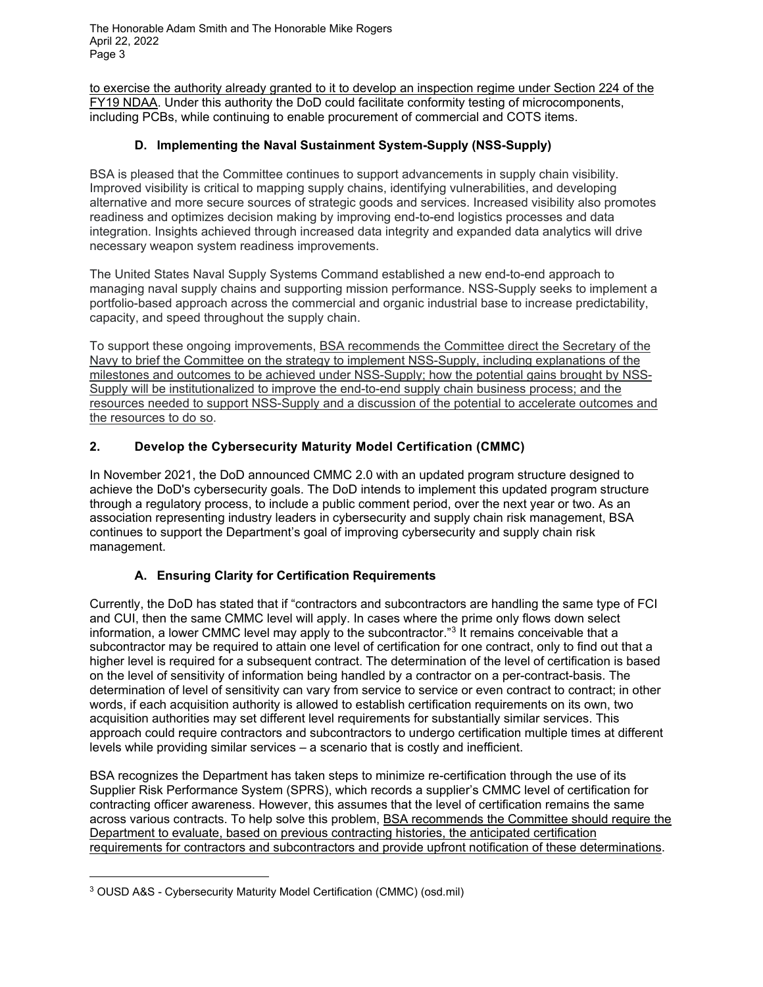to exercise the authority already granted to it to develop an inspection regime under Section 224 of the FY19 NDAA. Under this authority the DoD could facilitate conformity testing of microcomponents, including PCBs, while continuing to enable procurement of commercial and COTS items.

#### **D. Implementing the Naval Sustainment System-Supply (NSS-Supply)**

BSA is pleased that the Committee continues to support advancements in supply chain visibility. Improved visibility is critical to mapping supply chains, identifying vulnerabilities, and developing alternative and more secure sources of strategic goods and services. Increased visibility also promotes readiness and optimizes decision making by improving end-to-end logistics processes and data integration. Insights achieved through increased data integrity and expanded data analytics will drive necessary weapon system readiness improvements.

The United States Naval Supply Systems Command established a new end-to-end approach to managing naval supply chains and supporting mission performance. NSS-Supply seeks to implement a portfolio-based approach across the commercial and organic industrial base to increase predictability, capacity, and speed throughout the supply chain.

To support these ongoing improvements, BSA recommends the Committee direct the Secretary of the Navy to brief the Committee on the strategy to implement NSS-Supply, including explanations of the milestones and outcomes to be achieved under NSS-Supply; how the potential gains brought by NSS-Supply will be institutionalized to improve the end-to-end supply chain business process; and the resources needed to support NSS-Supply and a discussion of the potential to accelerate outcomes and the resources to do so.

## **2. Develop the Cybersecurity Maturity Model Certification (CMMC)**

In November 2021, the DoD announced CMMC 2.0 with an updated program structure designed to achieve the DoD's cybersecurity goals. The DoD intends to implement this updated program structure through a regulatory process, to include a public comment period, over the next year or two. As an association representing industry leaders in cybersecurity and supply chain risk management, BSA continues to support the Department's goal of improving cybersecurity and supply chain risk management.

#### **A. Ensuring Clarity for Certification Requirements**

Currently, the DoD has stated that if "contractors and subcontractors are handling the same type of FCI and CUI, then the same CMMC level will apply. In cases where the prime only flows down select information, a lower CMMC level may apply to the subcontractor."<sup>[3](#page-2-0)</sup> It remains conceivable that a subcontractor may be required to attain one level of certification for one contract, only to find out that a higher level is required for a subsequent contract. The determination of the level of certification is based on the level of sensitivity of information being handled by a contractor on a per-contract-basis. The determination of level of sensitivity can vary from service to service or even contract to contract; in other words, if each acquisition authority is allowed to establish certification requirements on its own, two acquisition authorities may set different level requirements for substantially similar services. This approach could require contractors and subcontractors to undergo certification multiple times at different levels while providing similar services – a scenario that is costly and inefficient.

BSA recognizes the Department has taken steps to minimize re-certification through the use of its Supplier Risk Performance System (SPRS), which records a supplier's CMMC level of certification for contracting officer awareness. However, this assumes that the level of certification remains the same across various contracts. To help solve this problem, BSA recommends the Committee should require the Department to evaluate, based on previous contracting histories, the anticipated certification requirements for contractors and subcontractors and provide upfront notification of these determinations.

<span id="page-2-0"></span><sup>3</sup> [OUSD A&S - Cybersecurity Maturity Model Certification \(CMMC\) \(osd.mil\)](https://www.acq.osd.mil/cmmc/faq.html)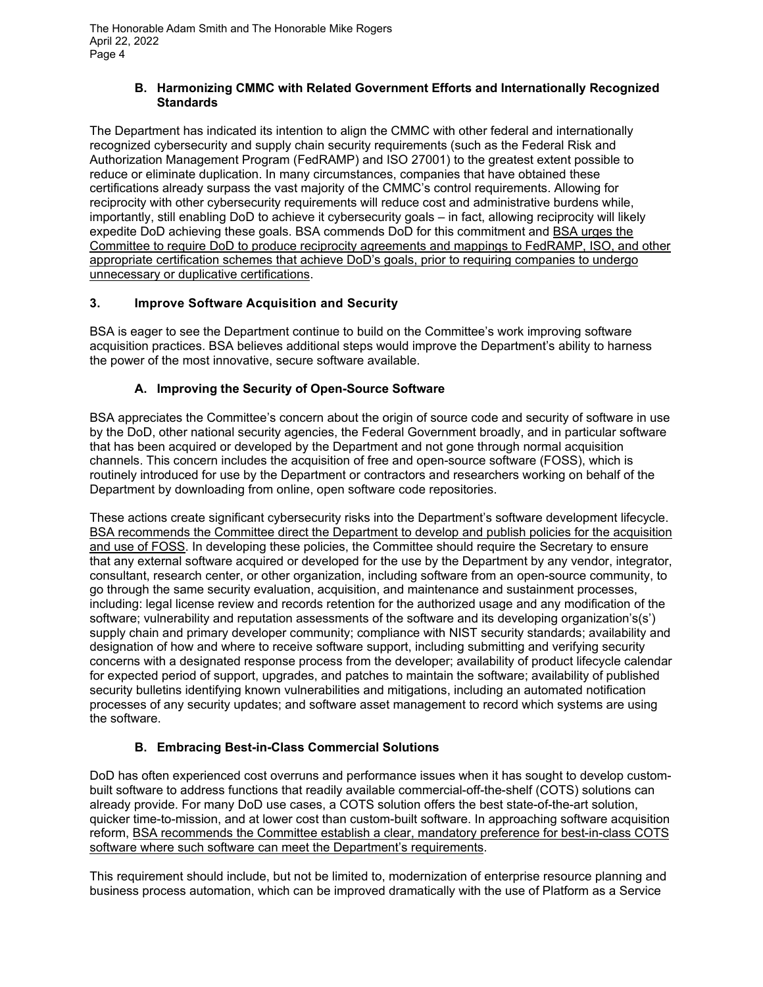#### **B. Harmonizing CMMC with Related Government Efforts and Internationally Recognized Standards**

The Department has indicated its intention to align the CMMC with other federal and internationally recognized cybersecurity and supply chain security requirements (such as the Federal Risk and Authorization Management Program (FedRAMP) and ISO 27001) to the greatest extent possible to reduce or eliminate duplication. In many circumstances, companies that have obtained these certifications already surpass the vast majority of the CMMC's control requirements. Allowing for reciprocity with other cybersecurity requirements will reduce cost and administrative burdens while, importantly, still enabling DoD to achieve it cybersecurity goals – in fact, allowing reciprocity will likely expedite DoD achieving these goals. BSA commends DoD for this commitment and BSA urges the Committee to require DoD to produce reciprocity agreements and mappings to FedRAMP, ISO, and other appropriate certification schemes that achieve DoD's goals, prior to requiring companies to undergo unnecessary or duplicative certifications.

## **3. Improve Software Acquisition and Security**

BSA is eager to see the Department continue to build on the Committee's work improving software acquisition practices. BSA believes additional steps would improve the Department's ability to harness the power of the most innovative, secure software available.

## **A. Improving the Security of Open-Source Software**

BSA appreciates the Committee's concern about the origin of source code and security of software in use by the DoD, other national security agencies, the Federal Government broadly, and in particular software that has been acquired or developed by the Department and not gone through normal acquisition channels. This concern includes the acquisition of free and open-source software (FOSS), which is routinely introduced for use by the Department or contractors and researchers working on behalf of the Department by downloading from online, open software code repositories.

These actions create significant cybersecurity risks into the Department's software development lifecycle. BSA recommends the Committee direct the Department to develop and publish policies for the acquisition and use of FOSS. In developing these policies, the Committee should require the Secretary to ensure that any external software acquired or developed for the use by the Department by any vendor, integrator, consultant, research center, or other organization, including software from an open-source community, to go through the same security evaluation, acquisition, and maintenance and sustainment processes, including: legal license review and records retention for the authorized usage and any modification of the software; vulnerability and reputation assessments of the software and its developing organization's(s') supply chain and primary developer community; compliance with NIST security standards; availability and designation of how and where to receive software support, including submitting and verifying security concerns with a designated response process from the developer; availability of product lifecycle calendar for expected period of support, upgrades, and patches to maintain the software; availability of published security bulletins identifying known vulnerabilities and mitigations, including an automated notification processes of any security updates; and software asset management to record which systems are using the software.

## **B. Embracing Best-in-Class Commercial Solutions**

DoD has often experienced cost overruns and performance issues when it has sought to develop custombuilt software to address functions that readily available commercial-off-the-shelf (COTS) solutions can already provide. For many DoD use cases, a COTS solution offers the best state-of-the-art solution, quicker time-to-mission, and at lower cost than custom-built software. In approaching software acquisition reform, BSA recommends the Committee establish a clear, mandatory preference for best-in-class COTS software where such software can meet the Department's requirements.

This requirement should include, but not be limited to, modernization of enterprise resource planning and business process automation, which can be improved dramatically with the use of Platform as a Service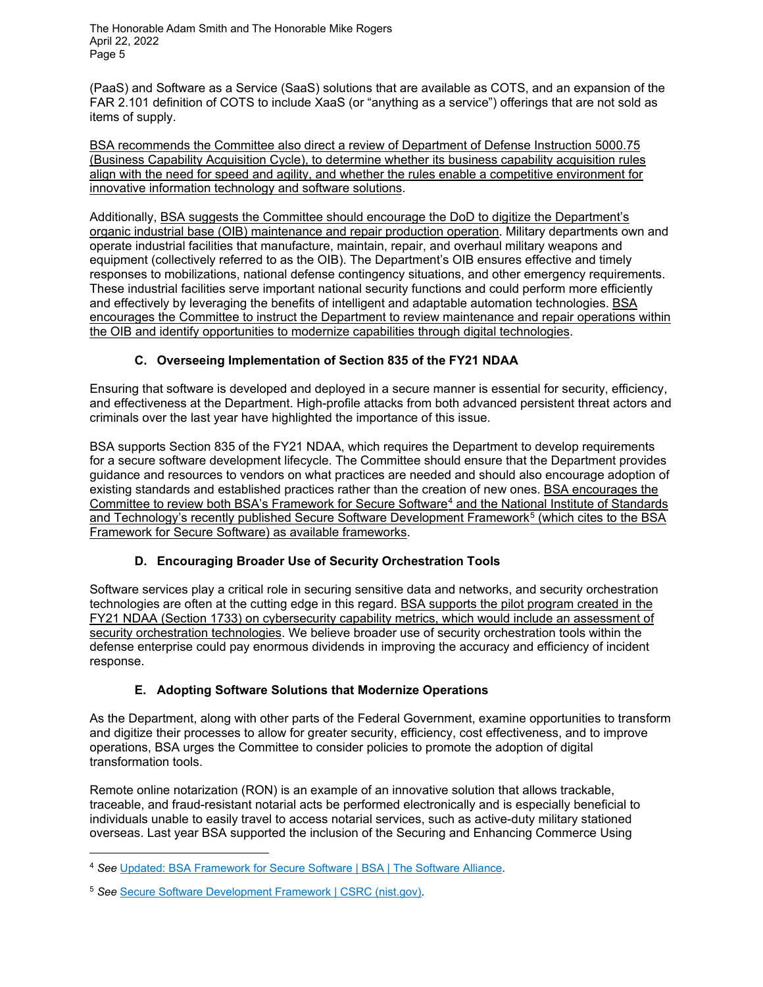(PaaS) and Software as a Service (SaaS) solutions that are available as COTS, and an expansion of the FAR 2.101 definition of COTS to include XaaS (or "anything as a service") offerings that are not sold as items of supply.

BSA recommends the Committee also direct a review of Department of Defense Instruction 5000.75 (Business Capability Acquisition Cycle), to determine whether its business capability acquisition rules align with the need for speed and agility, and whether the rules enable a competitive environment for innovative information technology and software solutions.

Additionally, BSA suggests the Committee should encourage the DoD to digitize the Department's organic industrial base (OIB) maintenance and repair production operation. Military departments own and operate industrial facilities that manufacture, maintain, repair, and overhaul military weapons and equipment (collectively referred to as the OIB). The Department's OIB ensures effective and timely responses to mobilizations, national defense contingency situations, and other emergency requirements. These industrial facilities serve important national security functions and could perform more efficiently and effectively by leveraging the benefits of intelligent and adaptable automation technologies. BSA encourages the Committee to instruct the Department to review maintenance and repair operations within the OIB and identify opportunities to modernize capabilities through digital technologies.

# **C. Overseeing Implementation of Section 835 of the FY21 NDAA**

Ensuring that software is developed and deployed in a secure manner is essential for security, efficiency, and effectiveness at the Department. High-profile attacks from both advanced persistent threat actors and criminals over the last year have highlighted the importance of this issue.

BSA supports Section 835 of the FY21 NDAA, which requires the Department to develop requirements for a secure software development lifecycle. The Committee should ensure that the Department provides guidance and resources to vendors on what practices are needed and should also encourage adoption of existing standards and established practices rather than the creation of new ones. BSA encourages the Committee to review both BSA's Framework for Secure Software[4](#page-4-0) and the National Institute of Standards and Technology's recently published Secure Software Development Framework<sup>[5](#page-4-1)</sup> (which cites to the BSA Framework for Secure Software) as available frameworks.

## **D. Encouraging Broader Use of Security Orchestration Tools**

Software services play a critical role in securing sensitive data and networks, and security orchestration technologies are often at the cutting edge in this regard. BSA supports the pilot program created in the FY21 NDAA (Section 1733) on cybersecurity capability metrics, which would include an assessment of security orchestration technologies. We believe broader use of security orchestration tools within the defense enterprise could pay enormous dividends in improving the accuracy and efficiency of incident response.

## **E. Adopting Software Solutions that Modernize Operations**

As the Department, along with other parts of the Federal Government, examine opportunities to transform and digitize their processes to allow for greater security, efficiency, cost effectiveness, and to improve operations, BSA urges the Committee to consider policies to promote the adoption of digital transformation tools.

Remote online notarization (RON) is an example of an innovative solution that allows trackable, traceable, and fraud-resistant notarial acts be performed electronically and is especially beneficial to individuals unable to easily travel to access notarial services, such as active-duty military stationed overseas. Last year BSA supported the inclusion of the Securing and Enhancing Commerce Using

<span id="page-4-0"></span><sup>4</sup> *See* [Updated: BSA Framework for Secure Software | BSA | The Software Alliance.](https://www.bsa.org/reports/updated-bsa-framework-for-secure-software)

<span id="page-4-1"></span><sup>5</sup> *See* [Secure Software Development Framework |](https://csrc.nist.gov/Projects/ssdf) CSRC (nist.gov).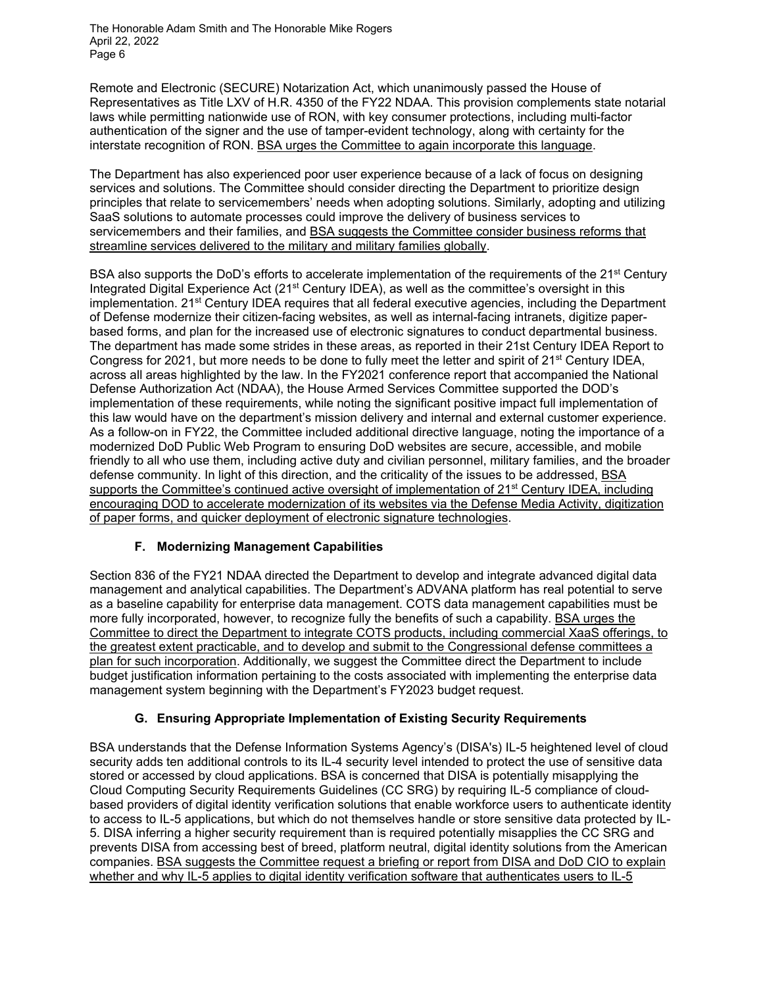Remote and Electronic (SECURE) Notarization Act, which unanimously passed the House of Representatives as Title LXV of H.R. 4350 of the FY22 NDAA. This provision complements state notarial laws while permitting nationwide use of RON, with key consumer protections, including multi-factor authentication of the signer and the use of tamper-evident technology, along with certainty for the interstate recognition of RON. BSA urges the Committee to again incorporate this language.

The Department has also experienced poor user experience because of a lack of focus on designing services and solutions. The Committee should consider directing the Department to prioritize design principles that relate to servicemembers' needs when adopting solutions. Similarly, adopting and utilizing SaaS solutions to automate processes could improve the delivery of business services to servicemembers and their families, and BSA suggests the Committee consider business reforms that streamline services delivered to the military and military families globally.

BSA also supports the DoD's efforts to accelerate implementation of the requirements of the 21<sup>st</sup> Century Integrated Digital Experience Act (21<sup>st</sup> Century IDEA), as well as the committee's oversight in this implementation.  $21<sup>st</sup>$  Century IDEA requires that all federal executive agencies, including the Department of Defense modernize their citizen-facing websites, as well as internal-facing intranets, digitize paperbased forms, and plan for the increased use of electronic signatures to conduct departmental business. The department has made some strides in these areas, as reported in their [21st Century IDEA Report to](https://nam02.safelinks.protection.outlook.com/?url=https%3A%2F%2Fdodcio.defense.gov%2FPortals%2F0%2FDocuments%2F21stCenturyIDEAReport-2021.pdf&data=04%7C01%7Chenryy%40bsa.org%7C8d33bf7e87ad4ee87bec08da1d6d5708%7Ce85c1ade99da4673bcf92fb4b5005777%7C1%7C1%7C637854652725914521%7CUnknown%7CTWFpbGZsb3d8eyJWIjoiMC4wLjAwMDAiLCJQIjoiV2luMzIiLCJBTiI6Ik1haWwiLCJXVCI6Mn0%3D%7C3000&sdata=6fzYTRprlpAxe8Jk8AcMrFX%2BjDfayxAs5uUI5RdfoF0%3D&reserved=0)  [Congress for 2021,](https://nam02.safelinks.protection.outlook.com/?url=https%3A%2F%2Fdodcio.defense.gov%2FPortals%2F0%2FDocuments%2F21stCenturyIDEAReport-2021.pdf&data=04%7C01%7Chenryy%40bsa.org%7C8d33bf7e87ad4ee87bec08da1d6d5708%7Ce85c1ade99da4673bcf92fb4b5005777%7C1%7C1%7C637854652725914521%7CUnknown%7CTWFpbGZsb3d8eyJWIjoiMC4wLjAwMDAiLCJQIjoiV2luMzIiLCJBTiI6Ik1haWwiLCJXVCI6Mn0%3D%7C3000&sdata=6fzYTRprlpAxe8Jk8AcMrFX%2BjDfayxAs5uUI5RdfoF0%3D&reserved=0) but more needs to be done to fully meet the letter and spirit of 21<sup>st</sup> Century IDEA, across all areas highlighted by the law. In the FY2021 conference report that accompanied the National Defense Authorization Act (NDAA), the House Armed Services Committee supported the DOD's implementation of these requirements, while noting the significant positive impact full implementation of this law would have on the department's mission delivery and internal and external customer experience. As a follow-on in FY22, the Committee included additional directive language, noting the importance of a modernized DoD Public Web Program to ensuring DoD websites are secure, accessible, and mobile friendly to all who use them, including active duty and civilian personnel, military families, and the broader defense community. In light of this direction, and the criticality of the issues to be addressed, BSA supports the Committee's continued active oversight of implementation of 21<sup>st</sup> Century IDEA, including encouraging DOD to accelerate modernization of its websites via the Defense Media Activity, digitization of paper forms, and quicker deployment of electronic signature technologies.

## **F. Modernizing Management Capabilities**

Section 836 of the FY21 NDAA directed the Department to develop and integrate advanced digital data management and analytical capabilities. The Department's ADVANA platform has real potential to serve as a baseline capability for enterprise data management. COTS data management capabilities must be more fully incorporated, however, to recognize fully the benefits of such a capability. BSA urges the Committee to direct the Department to integrate COTS products, including commercial XaaS offerings, to the greatest extent practicable, and to develop and submit to the Congressional defense committees a plan for such incorporation. Additionally, we suggest the Committee direct the Department to include budget justification information pertaining to the costs associated with implementing the enterprise data management system beginning with the Department's FY2023 budget request.

## **G. Ensuring Appropriate Implementation of Existing Security Requirements**

BSA understands that the Defense Information Systems Agency's (DISA's) IL-5 heightened level of cloud security adds ten additional controls to its IL-4 security level intended to protect the use of sensitive data stored or accessed by cloud applications. BSA is concerned that DISA is potentially misapplying the Cloud Computing Security Requirements Guidelines (CC SRG) by requiring IL-5 compliance of cloudbased providers of digital identity verification solutions that enable workforce users to authenticate identity to access to IL-5 applications, but which do not themselves handle or store sensitive data protected by IL-5. DISA inferring a higher security requirement than is required potentially misapplies the CC SRG and prevents DISA from accessing best of breed, platform neutral, digital identity solutions from the American companies. BSA suggests the Committee request a briefing or report from DISA and DoD CIO to explain whether and why IL-5 applies to digital identity verification software that authenticates users to IL-5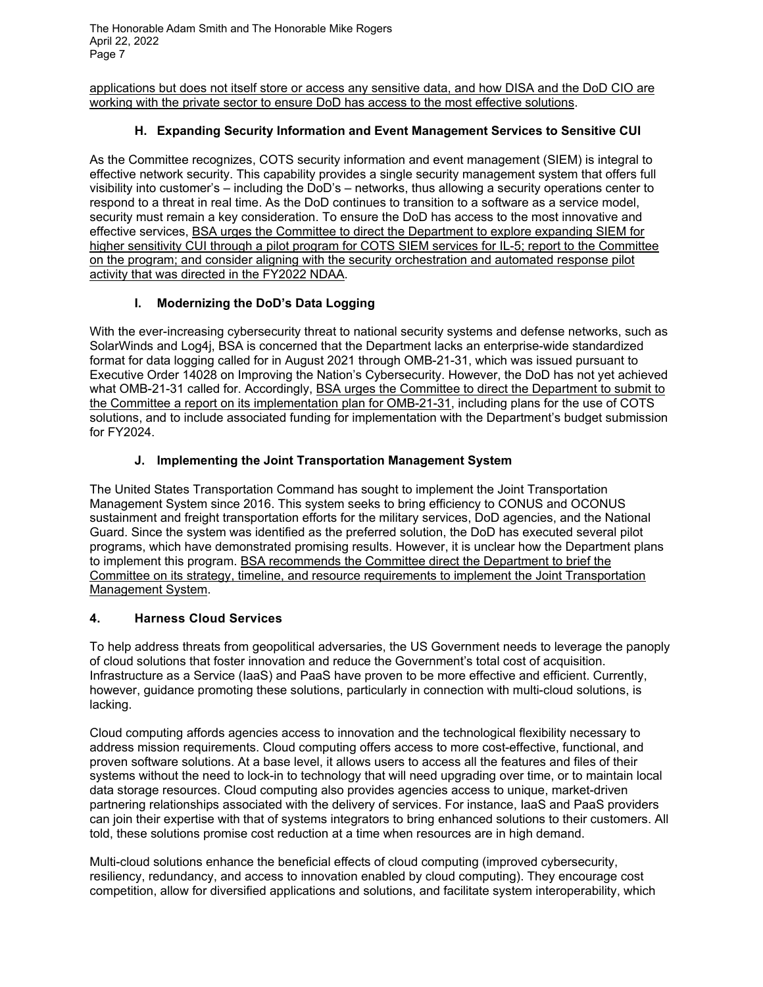applications but does not itself store or access any sensitive data, and how DISA and the DoD CIO are working with the private sector to ensure DoD has access to the most effective solutions.

### **H. Expanding Security Information and Event Management Services to Sensitive CUI**

As the Committee recognizes, COTS security information and event management (SIEM) is integral to effective network security. This capability provides a single security management system that offers full visibility into customer's – including the DoD's – networks, thus allowing a security operations center to respond to a threat in real time. As the DoD continues to transition to a software as a service model, security must remain a key consideration. To ensure the DoD has access to the most innovative and effective services, BSA urges the Committee to direct the Department to explore expanding SIEM for higher sensitivity CUI through a pilot program for COTS SIEM services for IL-5; report to the Committee on the program; and consider aligning with the security orchestration and automated response pilot activity that was directed in the FY2022 NDAA.

### **I. Modernizing the DoD's Data Logging**

With the ever-increasing cybersecurity threat to national security systems and defense networks, such as SolarWinds and Log4j, BSA is concerned that the Department lacks an enterprise-wide standardized format for data logging called for in August 2021 through OMB-21-31, which was issued pursuant to Executive Order 14028 on Improving the Nation's Cybersecurity. However, the DoD has not yet achieved what OMB-21-31 called for. Accordingly, BSA urges the Committee to direct the Department to submit to the Committee a report on its implementation plan for OMB-21-31, including plans for the use of COTS solutions, and to include associated funding for implementation with the Department's budget submission for FY2024.

#### **J. Implementing the Joint Transportation Management System**

The United States Transportation Command has sought to implement the Joint Transportation Management System since 2016. This system seeks to bring efficiency to CONUS and OCONUS sustainment and freight transportation efforts for the military services, DoD agencies, and the National Guard. Since the system was identified as the preferred solution, the DoD has executed several pilot programs, which have demonstrated promising results. However, it is unclear how the Department plans to implement this program. BSA recommends the Committee direct the Department to brief the Committee on its strategy, timeline, and resource requirements to implement the Joint Transportation Management System.

#### **4. Harness Cloud Services**

To help address threats from geopolitical adversaries, the US Government needs to leverage the panoply of cloud solutions that foster innovation and reduce the Government's total cost of acquisition. Infrastructure as a Service (IaaS) and PaaS have proven to be more effective and efficient. Currently, however, guidance promoting these solutions, particularly in connection with multi-cloud solutions, is lacking.

Cloud computing affords agencies access to innovation and the technological flexibility necessary to address mission requirements. Cloud computing offers access to more cost-effective, functional, and proven software solutions. At a base level, it allows users to access all the features and files of their systems without the need to lock-in to technology that will need upgrading over time, or to maintain local data storage resources. Cloud computing also provides agencies access to unique, market-driven partnering relationships associated with the delivery of services. For instance, IaaS and PaaS providers can join their expertise with that of systems integrators to bring enhanced solutions to their customers. All told, these solutions promise cost reduction at a time when resources are in high demand.

Multi-cloud solutions enhance the beneficial effects of cloud computing (improved cybersecurity, resiliency, redundancy, and access to innovation enabled by cloud computing). They encourage cost competition, allow for diversified applications and solutions, and facilitate system interoperability, which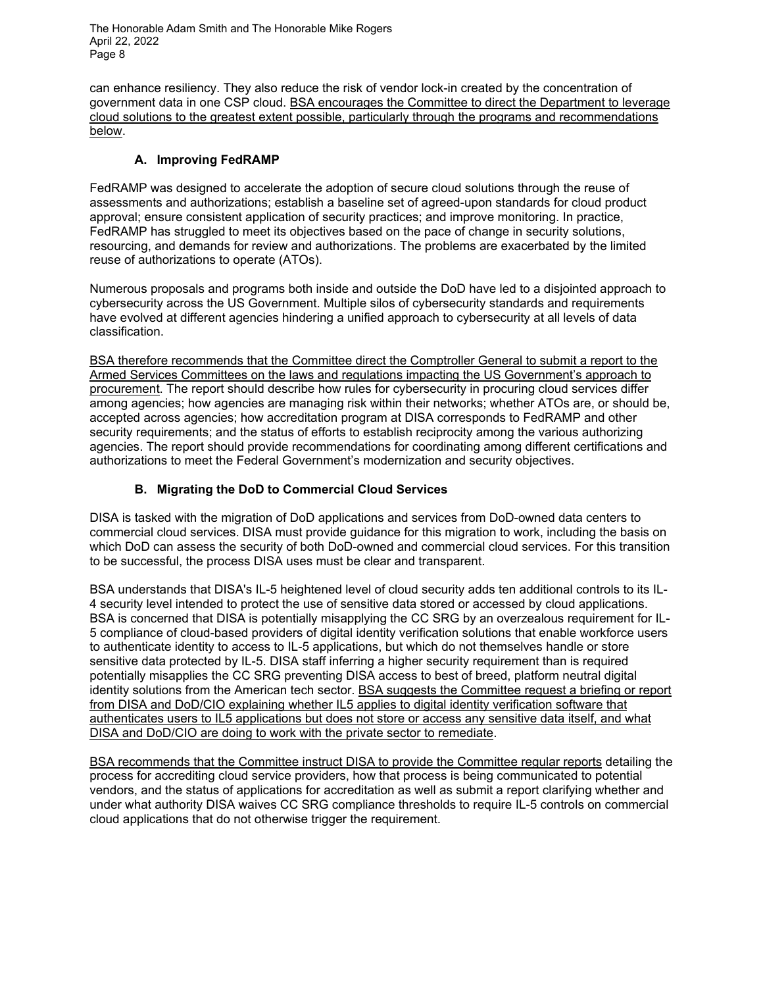can enhance resiliency. They also reduce the risk of vendor lock-in created by the concentration of government data in one CSP cloud. BSA encourages the Committee to direct the Department to leverage cloud solutions to the greatest extent possible, particularly through the programs and recommendations below.

#### **A. Improving FedRAMP**

FedRAMP was designed to accelerate the adoption of secure cloud solutions through the reuse of assessments and authorizations; establish a baseline set of agreed-upon standards for cloud product approval; ensure consistent application of security practices; and improve monitoring. In practice, FedRAMP has struggled to meet its objectives based on the pace of change in security solutions, resourcing, and demands for review and authorizations. The problems are exacerbated by the limited reuse of authorizations to operate (ATOs).

Numerous proposals and programs both inside and outside the DoD have led to a disjointed approach to cybersecurity across the US Government. Multiple silos of cybersecurity standards and requirements have evolved at different agencies hindering a unified approach to cybersecurity at all levels of data classification.

BSA therefore recommends that the Committee direct the Comptroller General to submit a report to the Armed Services Committees on the laws and regulations impacting the US Government's approach to procurement. The report should describe how rules for cybersecurity in procuring cloud services differ among agencies; how agencies are managing risk within their networks; whether ATOs are, or should be, accepted across agencies; how accreditation program at DISA corresponds to FedRAMP and other security requirements; and the status of efforts to establish reciprocity among the various authorizing agencies. The report should provide recommendations for coordinating among different certifications and authorizations to meet the Federal Government's modernization and security objectives.

### **B. Migrating the DoD to Commercial Cloud Services**

DISA is tasked with the migration of DoD applications and services from DoD-owned data centers to commercial cloud services. DISA must provide guidance for this migration to work, including the basis on which DoD can assess the security of both DoD-owned and commercial cloud services. For this transition to be successful, the process DISA uses must be clear and transparent.

BSA understands that DISA's IL-5 heightened level of cloud security adds ten additional controls to its IL-4 security level intended to protect the use of sensitive data stored or accessed by cloud applications. BSA is concerned that DISA is potentially misapplying the CC SRG by an overzealous requirement for IL-5 compliance of cloud-based providers of digital identity verification solutions that enable workforce users to authenticate identity to access to IL-5 applications, but which do not themselves handle or store sensitive data protected by IL-5. DISA staff inferring a higher security requirement than is required potentially misapplies the CC SRG preventing DISA access to best of breed, platform neutral digital identity solutions from the American tech sector. BSA suggests the Committee request a briefing or report from DISA and DoD/CIO explaining whether IL5 applies to digital identity verification software that authenticates users to IL5 applications but does not store or access any sensitive data itself, and what DISA and DoD/CIO are doing to work with the private sector to remediate.

BSA recommends that the Committee instruct DISA to provide the Committee regular reports detailing the process for accrediting cloud service providers, how that process is being communicated to potential vendors, and the status of applications for accreditation as well as submit a report clarifying whether and under what authority DISA waives CC SRG compliance thresholds to require IL-5 controls on commercial cloud applications that do not otherwise trigger the requirement.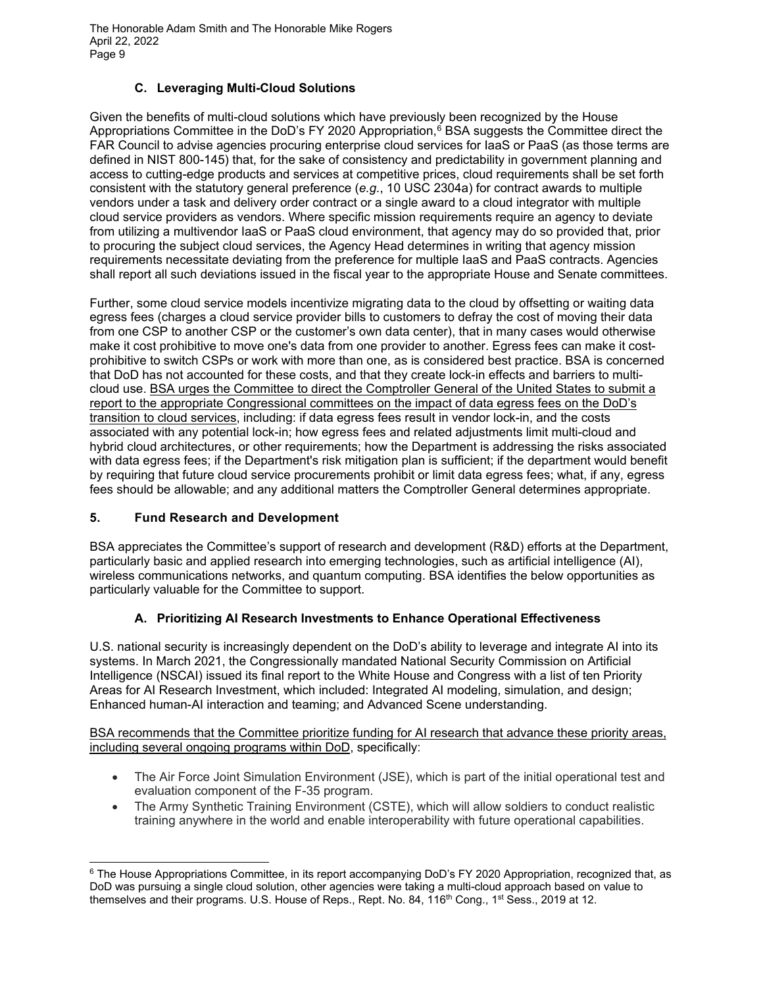#### **C. Leveraging Multi-Cloud Solutions**

Given the benefits of multi-cloud solutions which have previously been recognized by the House Appropriations Committee in the DoD's FY 2020 Appropriation,<sup>[6](#page-8-0)</sup> BSA suggests the Committee direct the FAR Council to advise agencies procuring enterprise cloud services for IaaS or PaaS (as those terms are defined in NIST 800-145) that, for the sake of consistency and predictability in government planning and access to cutting-edge products and services at competitive prices, cloud requirements shall be set forth consistent with the statutory general preference (*e.g.*, 10 USC 2304a) for contract awards to multiple vendors under a task and delivery order contract or a single award to a cloud integrator with multiple cloud service providers as vendors. Where specific mission requirements require an agency to deviate from utilizing a multivendor IaaS or PaaS cloud environment, that agency may do so provided that, prior to procuring the subject cloud services, the Agency Head determines in writing that agency mission requirements necessitate deviating from the preference for multiple IaaS and PaaS contracts. Agencies shall report all such deviations issued in the fiscal year to the appropriate House and Senate committees.

Further, some cloud service models incentivize migrating data to the cloud by offsetting or waiting data egress fees (charges a cloud service provider bills to customers to defray the cost of moving their data from one CSP to another CSP or the customer's own data center), that in many cases would otherwise make it cost prohibitive to move one's data from one provider to another. Egress fees can make it costprohibitive to switch CSPs or work with more than one, as is considered best practice. BSA is concerned that DoD has not accounted for these costs, and that they create lock-in effects and barriers to multicloud use. BSA urges the Committee to direct the Comptroller General of the United States to submit a report to the appropriate Congressional committees on the impact of data egress fees on the DoD's transition to cloud services, including: if data egress fees result in vendor lock-in, and the costs associated with any potential lock-in; how egress fees and related adjustments limit multi-cloud and hybrid cloud architectures, or other requirements; how the Department is addressing the risks associated with data egress fees; if the Department's risk mitigation plan is sufficient; if the department would benefit by requiring that future cloud service procurements prohibit or limit data egress fees; what, if any, egress fees should be allowable; and any additional matters the Comptroller General determines appropriate.

#### **5. Fund Research and Development**

BSA appreciates the Committee's support of research and development (R&D) efforts at the Department, particularly basic and applied research into emerging technologies, such as artificial intelligence (AI), wireless communications networks, and quantum computing. BSA identifies the below opportunities as particularly valuable for the Committee to support.

#### **A. Prioritizing AI Research Investments to Enhance Operational Effectiveness**

U.S. national security is increasingly dependent on the DoD's ability to leverage and integrate AI into its systems. In March 2021, the Congressionally mandated National Security Commission on Artificial Intelligence (NSCAI) issued its final report to the White House and Congress with a list of ten Priority Areas for AI Research Investment, which included: Integrated AI modeling, simulation, and design; Enhanced human-AI interaction and teaming; and Advanced Scene understanding.

BSA recommends that the Committee prioritize funding for AI research that advance these priority areas, including several ongoing programs within DoD, specifically:

- The Air Force Joint Simulation Environment (JSE), which is part of the initial operational test and evaluation component of the F-35 program.
- The Army Synthetic Training Environment (CSTE), which will allow soldiers to conduct realistic training anywhere in the world and enable interoperability with future operational capabilities.

<span id="page-8-0"></span><sup>&</sup>lt;sup>6</sup> The House Appropriations Committee, in its report accompanying DoD's FY 2020 Appropriation, recognized that, as DoD was pursuing a single cloud solution, other agencies were taking a multi-cloud approach based on value to themselves and their programs. U.S. House of Reps., Rept. No. 84, 116<sup>th</sup> Cong., 1<sup>st</sup> Sess., 2019 at 12.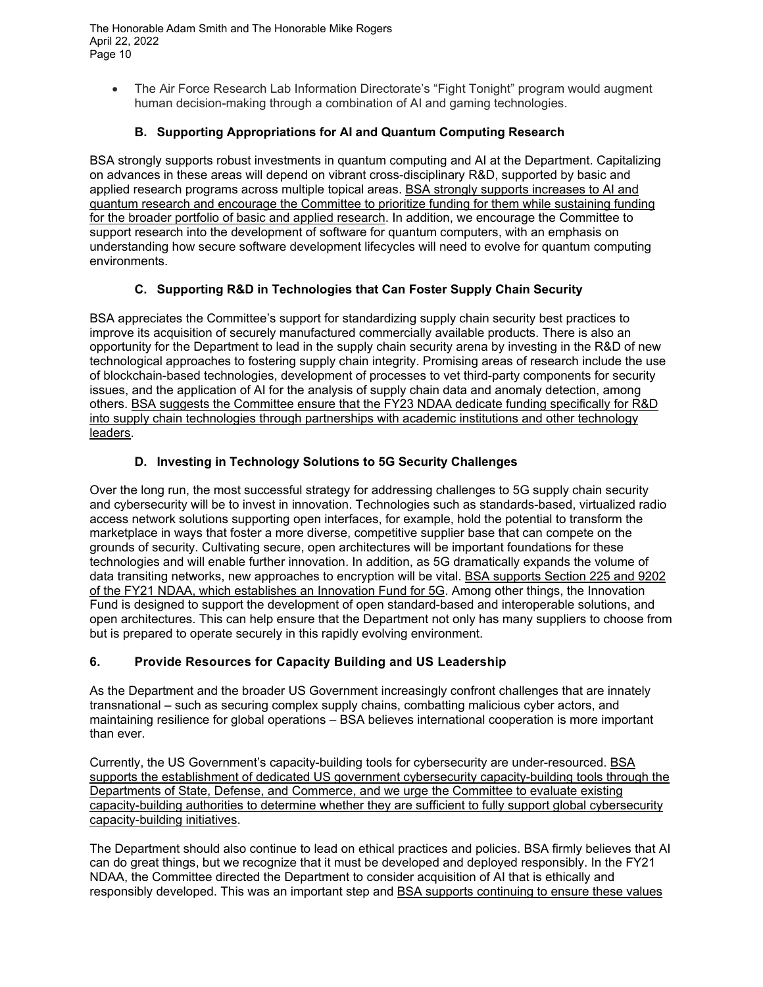• The Air Force Research Lab Information Directorate's "Fight Tonight" program would augment human decision-making through a combination of AI and gaming technologies.

## **B. Supporting Appropriations for AI and Quantum Computing Research**

BSA strongly supports robust investments in quantum computing and AI at the Department. Capitalizing on advances in these areas will depend on vibrant cross-disciplinary R&D, supported by basic and applied research programs across multiple topical areas. BSA strongly supports increases to AI and quantum research and encourage the Committee to prioritize funding for them while sustaining funding for the broader portfolio of basic and applied research. In addition, we encourage the Committee to support research into the development of software for quantum computers, with an emphasis on understanding how secure software development lifecycles will need to evolve for quantum computing environments.

### **C. Supporting R&D in Technologies that Can Foster Supply Chain Security**

BSA appreciates the Committee's support for standardizing supply chain security best practices to improve its acquisition of securely manufactured commercially available products. There is also an opportunity for the Department to lead in the supply chain security arena by investing in the R&D of new technological approaches to fostering supply chain integrity. Promising areas of research include the use of blockchain-based technologies, development of processes to vet third-party components for security issues, and the application of AI for the analysis of supply chain data and anomaly detection, among others. BSA suggests the Committee ensure that the FY23 NDAA dedicate funding specifically for R&D into supply chain technologies through partnerships with academic institutions and other technology leaders.

### **D. Investing in Technology Solutions to 5G Security Challenges**

Over the long run, the most successful strategy for addressing challenges to 5G supply chain security and cybersecurity will be to invest in innovation. Technologies such as standards-based, virtualized radio access network solutions supporting open interfaces, for example, hold the potential to transform the marketplace in ways that foster a more diverse, competitive supplier base that can compete on the grounds of security. Cultivating secure, open architectures will be important foundations for these technologies and will enable further innovation. In addition, as 5G dramatically expands the volume of data transiting networks, new approaches to encryption will be vital. BSA supports Section 225 and 9202 of the FY21 NDAA, which establishes an Innovation Fund for 5G. Among other things, the Innovation Fund is designed to support the development of open standard-based and interoperable solutions, and open architectures. This can help ensure that the Department not only has many suppliers to choose from but is prepared to operate securely in this rapidly evolving environment.

#### **6. Provide Resources for Capacity Building and US Leadership**

As the Department and the broader US Government increasingly confront challenges that are innately transnational – such as securing complex supply chains, combatting malicious cyber actors, and maintaining resilience for global operations – BSA believes international cooperation is more important than ever.

Currently, the US Government's capacity-building tools for cybersecurity are under-resourced. BSA supports the establishment of dedicated US government cybersecurity capacity-building tools through the Departments of State, Defense, and Commerce, and we urge the Committee to evaluate existing capacity-building authorities to determine whether they are sufficient to fully support global cybersecurity capacity-building initiatives.

The Department should also continue to lead on ethical practices and policies. BSA firmly believes that AI can do great things, but we recognize that it must be developed and deployed responsibly. In the FY21 NDAA, the Committee directed the Department to consider acquisition of AI that is ethically and responsibly developed. This was an important step and BSA supports continuing to ensure these values